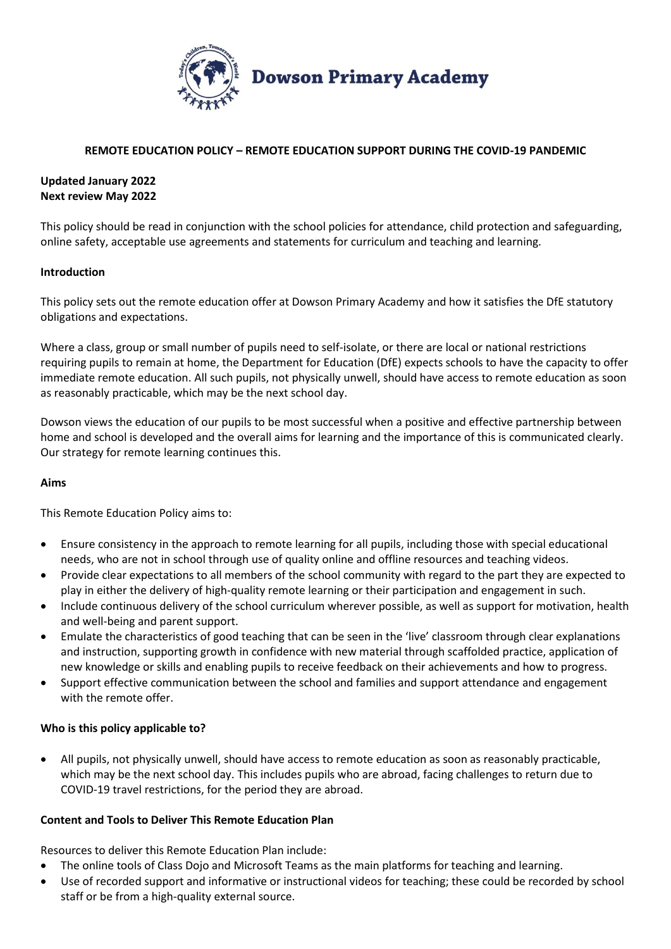

## **REMOTE EDUCATION POLICY – REMOTE EDUCATION SUPPORT DURING THE COVID-19 PANDEMIC**

# **Updated January 2022 Next review May 2022**

This policy should be read in conjunction with the school policies for attendance, child protection and safeguarding, online safety, acceptable use agreements and statements for curriculum and teaching and learning.

## **Introduction**

This policy sets out the remote education offer at Dowson Primary Academy and how it satisfies the DfE statutory obligations and expectations.

Where a class, group or small number of pupils need to self-isolate, or there are local or national restrictions requiring pupils to remain at home, the Department for Education (DfE) expects schools to have the capacity to offer immediate remote education. All such pupils, not physically unwell, should have access to remote education as soon as reasonably practicable, which may be the next school day.

Dowson views the education of our pupils to be most successful when a positive and effective partnership between home and school is developed and the overall aims for learning and the importance of this is communicated clearly. Our strategy for remote learning continues this.

### **Aims**

This Remote Education Policy aims to:

- Ensure consistency in the approach to remote learning for all pupils, including those with special educational needs, who are not in school through use of quality online and offline resources and teaching videos.
- Provide clear expectations to all members of the school community with regard to the part they are expected to play in either the delivery of high-quality remote learning or their participation and engagement in such.
- Include continuous delivery of the school curriculum wherever possible, as well as support for motivation, health and well-being and parent support.
- Emulate the characteristics of good teaching that can be seen in the 'live' classroom through clear explanations and instruction, supporting growth in confidence with new material through scaffolded practice, application of new knowledge or skills and enabling pupils to receive feedback on their achievements and how to progress.
- Support effective communication between the school and families and support attendance and engagement with the remote offer.

# **Who is this policy applicable to?**

 All pupils, not physically unwell, should have access to remote education as soon as reasonably practicable, which may be the next school day. This includes pupils who are abroad, facing challenges to return due to COVID-19 travel restrictions, for the period they are abroad.

### **Content and Tools to Deliver This Remote Education Plan**

Resources to deliver this Remote Education Plan include:

- The online tools of Class Dojo and Microsoft Teams as the main platforms for teaching and learning.
- Use of recorded support and informative or instructional videos for teaching; these could be recorded by school staff or be from a high-quality external source.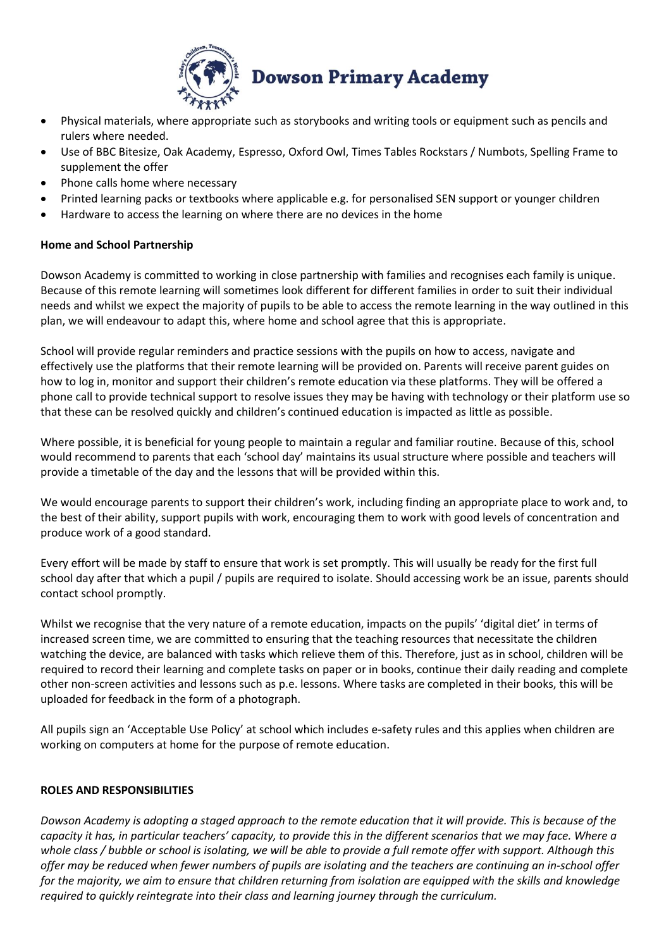

- Physical materials, where appropriate such as storybooks and writing tools or equipment such as pencils and rulers where needed.
- Use of BBC Bitesize, Oak Academy, Espresso, Oxford Owl, Times Tables Rockstars / Numbots, Spelling Frame to supplement the offer
- Phone calls home where necessary
- Printed learning packs or textbooks where applicable e.g. for personalised SEN support or younger children
- Hardware to access the learning on where there are no devices in the home

## **Home and School Partnership**

Dowson Academy is committed to working in close partnership with families and recognises each family is unique. Because of this remote learning will sometimes look different for different families in order to suit their individual needs and whilst we expect the majority of pupils to be able to access the remote learning in the way outlined in this plan, we will endeavour to adapt this, where home and school agree that this is appropriate.

School will provide regular reminders and practice sessions with the pupils on how to access, navigate and effectively use the platforms that their remote learning will be provided on. Parents will receive parent guides on how to log in, monitor and support their children's remote education via these platforms. They will be offered a phone call to provide technical support to resolve issues they may be having with technology or their platform use so that these can be resolved quickly and children's continued education is impacted as little as possible.

Where possible, it is beneficial for young people to maintain a regular and familiar routine. Because of this, school would recommend to parents that each 'school day' maintains its usual structure where possible and teachers will provide a timetable of the day and the lessons that will be provided within this.

We would encourage parents to support their children's work, including finding an appropriate place to work and, to the best of their ability, support pupils with work, encouraging them to work with good levels of concentration and produce work of a good standard.

Every effort will be made by staff to ensure that work is set promptly. This will usually be ready for the first full school day after that which a pupil / pupils are required to isolate. Should accessing work be an issue, parents should contact school promptly.

Whilst we recognise that the very nature of a remote education, impacts on the pupils' 'digital diet' in terms of increased screen time, we are committed to ensuring that the teaching resources that necessitate the children watching the device, are balanced with tasks which relieve them of this. Therefore, just as in school, children will be required to record their learning and complete tasks on paper or in books, continue their daily reading and complete other non-screen activities and lessons such as p.e. lessons. Where tasks are completed in their books, this will be uploaded for feedback in the form of a photograph.

All pupils sign an 'Acceptable Use Policy' at school which includes e-safety rules and this applies when children are working on computers at home for the purpose of remote education.

### **ROLES AND RESPONSIBILITIES**

*Dowson Academy is adopting a staged approach to the remote education that it will provide. This is because of the capacity it has, in particular teachers' capacity, to provide this in the different scenarios that we may face. Where a whole class / bubble or school is isolating, we will be able to provide a full remote offer with support. Although this offer may be reduced when fewer numbers of pupils are isolating and the teachers are continuing an in-school offer for the majority, we aim to ensure that children returning from isolation are equipped with the skills and knowledge required to quickly reintegrate into their class and learning journey through the curriculum.*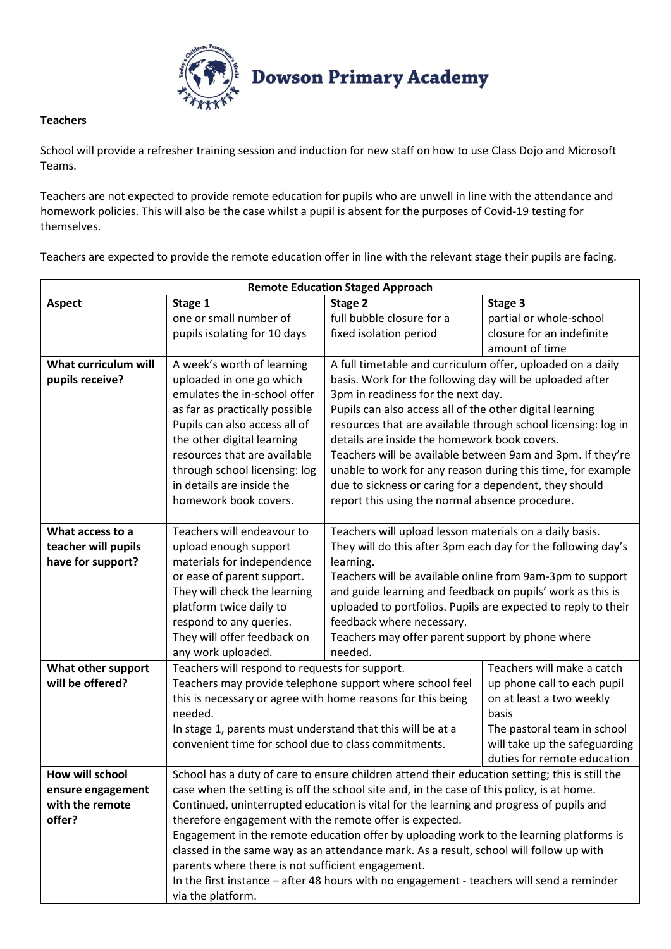

## **Teachers**

School will provide a refresher training session and induction for new staff on how to use Class Dojo and Microsoft Teams.

Teachers are not expected to provide remote education for pupils who are unwell in line with the attendance and homework policies. This will also be the case whilst a pupil is absent for the purposes of Covid-19 testing for themselves.

Teachers are expected to provide the remote education offer in line with the relevant stage their pupils are facing.

| <b>Remote Education Staged Approach</b> |                                                                                                                                                                                      |                                                               |                               |
|-----------------------------------------|--------------------------------------------------------------------------------------------------------------------------------------------------------------------------------------|---------------------------------------------------------------|-------------------------------|
| <b>Aspect</b>                           | Stage 1                                                                                                                                                                              | Stage 2                                                       | Stage 3                       |
|                                         | one or small number of                                                                                                                                                               | full bubble closure for a                                     | partial or whole-school       |
|                                         | pupils isolating for 10 days                                                                                                                                                         | fixed isolation period                                        | closure for an indefinite     |
|                                         |                                                                                                                                                                                      |                                                               | amount of time                |
| What curriculum will                    | A week's worth of learning                                                                                                                                                           | A full timetable and curriculum offer, uploaded on a daily    |                               |
| pupils receive?                         | uploaded in one go which                                                                                                                                                             | basis. Work for the following day will be uploaded after      |                               |
|                                         | emulates the in-school offer                                                                                                                                                         | 3pm in readiness for the next day.                            |                               |
|                                         | as far as practically possible                                                                                                                                                       | Pupils can also access all of the other digital learning      |                               |
|                                         | Pupils can also access all of                                                                                                                                                        | resources that are available through school licensing: log in |                               |
|                                         | the other digital learning                                                                                                                                                           | details are inside the homework book covers.                  |                               |
|                                         | resources that are available                                                                                                                                                         | Teachers will be available between 9am and 3pm. If they're    |                               |
|                                         | through school licensing: log                                                                                                                                                        | unable to work for any reason during this time, for example   |                               |
|                                         | in details are inside the                                                                                                                                                            | due to sickness or caring for a dependent, they should        |                               |
|                                         | homework book covers.                                                                                                                                                                | report this using the normal absence procedure.               |                               |
| What access to a                        | Teachers will endeavour to                                                                                                                                                           | Teachers will upload lesson materials on a daily basis.       |                               |
| teacher will pupils                     | upload enough support                                                                                                                                                                | They will do this after 3pm each day for the following day's  |                               |
| have for support?                       | materials for independence                                                                                                                                                           | learning.                                                     |                               |
|                                         | or ease of parent support.                                                                                                                                                           | Teachers will be available online from 9am-3pm to support     |                               |
|                                         | They will check the learning                                                                                                                                                         | and guide learning and feedback on pupils' work as this is    |                               |
|                                         | platform twice daily to                                                                                                                                                              | uploaded to portfolios. Pupils are expected to reply to their |                               |
|                                         | respond to any queries.                                                                                                                                                              | feedback where necessary.                                     |                               |
|                                         | They will offer feedback on                                                                                                                                                          | Teachers may offer parent support by phone where              |                               |
|                                         | any work uploaded.                                                                                                                                                                   | needed.                                                       |                               |
| What other support                      | Teachers will respond to requests for support.<br>Teachers will make a catch                                                                                                         |                                                               |                               |
| will be offered?                        | Teachers may provide telephone support where school feel<br>up phone call to each pupil                                                                                              |                                                               |                               |
|                                         | this is necessary or agree with home reasons for this being<br>on at least a two weekly                                                                                              |                                                               |                               |
|                                         | needed.<br>basis                                                                                                                                                                     |                                                               |                               |
|                                         | In stage 1, parents must understand that this will be at a<br>convenient time for school due to class commitments.                                                                   |                                                               | The pastoral team in school   |
|                                         |                                                                                                                                                                                      |                                                               | will take up the safeguarding |
|                                         |                                                                                                                                                                                      |                                                               | duties for remote education   |
| How will school                         | School has a duty of care to ensure children attend their education setting; this is still the                                                                                       |                                                               |                               |
| ensure engagement<br>with the remote    | case when the setting is off the school site and, in the case of this policy, is at home.<br>Continued, uninterrupted education is vital for the learning and progress of pupils and |                                                               |                               |
| offer?                                  |                                                                                                                                                                                      |                                                               |                               |
|                                         | therefore engagement with the remote offer is expected.<br>Engagement in the remote education offer by uploading work to the learning platforms is                                   |                                                               |                               |
|                                         | classed in the same way as an attendance mark. As a result, school will follow up with                                                                                               |                                                               |                               |
|                                         | parents where there is not sufficient engagement.                                                                                                                                    |                                                               |                               |
|                                         | In the first instance - after 48 hours with no engagement - teachers will send a reminder                                                                                            |                                                               |                               |
|                                         | via the platform.                                                                                                                                                                    |                                                               |                               |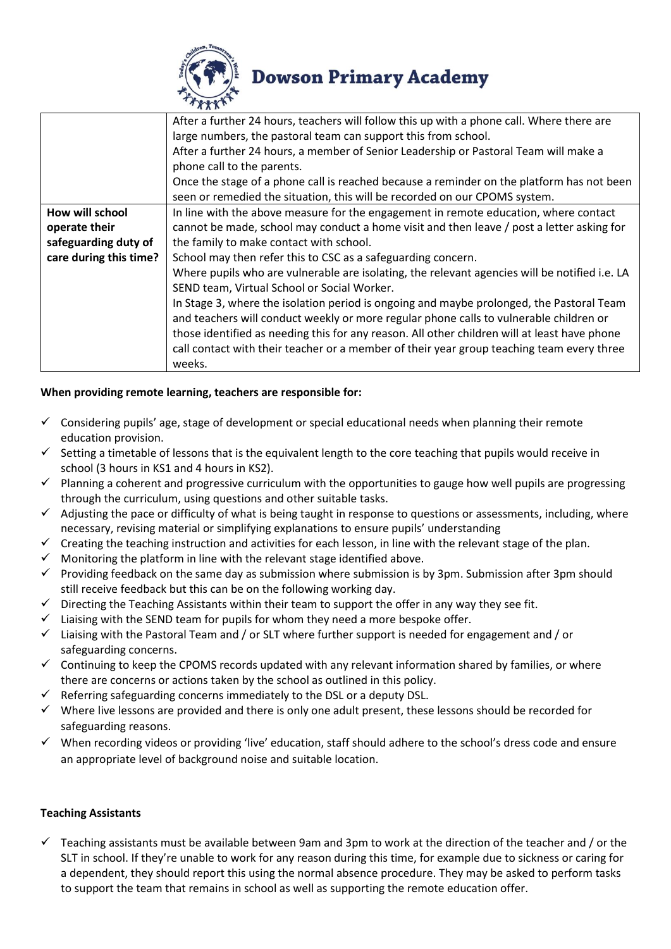

# **Dowson Primary Academy**

|                        | After a further 24 hours, teachers will follow this up with a phone call. Where there are     |  |  |
|------------------------|-----------------------------------------------------------------------------------------------|--|--|
|                        | large numbers, the pastoral team can support this from school.                                |  |  |
|                        | After a further 24 hours, a member of Senior Leadership or Pastoral Team will make a          |  |  |
|                        | phone call to the parents.                                                                    |  |  |
|                        | Once the stage of a phone call is reached because a reminder on the platform has not been     |  |  |
|                        | seen or remedied the situation, this will be recorded on our CPOMS system.                    |  |  |
| How will school        | In line with the above measure for the engagement in remote education, where contact          |  |  |
| operate their          | cannot be made, school may conduct a home visit and then leave / post a letter asking for     |  |  |
| safeguarding duty of   | the family to make contact with school.                                                       |  |  |
| care during this time? | School may then refer this to CSC as a safeguarding concern.                                  |  |  |
|                        | Where pupils who are vulnerable are isolating, the relevant agencies will be notified i.e. LA |  |  |
|                        | SEND team, Virtual School or Social Worker.                                                   |  |  |
|                        | In Stage 3, where the isolation period is ongoing and maybe prolonged, the Pastoral Team      |  |  |
|                        | and teachers will conduct weekly or more regular phone calls to vulnerable children or        |  |  |
|                        | those identified as needing this for any reason. All other children will at least have phone  |  |  |
|                        | call contact with their teacher or a member of their year group teaching team every three     |  |  |
|                        | weeks.                                                                                        |  |  |

# **When providing remote learning, teachers are responsible for:**

- $\checkmark$  Considering pupils' age, stage of development or special educational needs when planning their remote education provision.
- $\checkmark$  Setting a timetable of lessons that is the equivalent length to the core teaching that pupils would receive in school (3 hours in KS1 and 4 hours in KS2).
- $\checkmark$  Planning a coherent and progressive curriculum with the opportunities to gauge how well pupils are progressing through the curriculum, using questions and other suitable tasks.
- $\checkmark$  Adjusting the pace or difficulty of what is being taught in response to questions or assessments, including, where necessary, revising material or simplifying explanations to ensure pupils' understanding
- $\checkmark$  Creating the teaching instruction and activities for each lesson, in line with the relevant stage of the plan.
- Monitoring the platform in line with the relevant stage identified above.
- $\checkmark$  Providing feedback on the same day as submission where submission is by 3pm. Submission after 3pm should still receive feedback but this can be on the following working day.
- Directing the Teaching Assistants within their team to support the offer in any way they see fit.
- $\checkmark$  Liaising with the SEND team for pupils for whom they need a more bespoke offer.
- $\checkmark$  Liaising with the Pastoral Team and / or SLT where further support is needed for engagement and / or safeguarding concerns.
- $\checkmark$  Continuing to keep the CPOMS records updated with any relevant information shared by families, or where there are concerns or actions taken by the school as outlined in this policy.
- Referring safeguarding concerns immediately to the DSL or a deputy DSL.
- $\checkmark$  Where live lessons are provided and there is only one adult present, these lessons should be recorded for safeguarding reasons.
- $\checkmark$  When recording videos or providing 'live' education, staff should adhere to the school's dress code and ensure an appropriate level of background noise and suitable location.

### **Teaching Assistants**

 $\checkmark$  Teaching assistants must be available between 9am and 3pm to work at the direction of the teacher and / or the SLT in school. If they're unable to work for any reason during this time, for example due to sickness or caring for a dependent, they should report this using the normal absence procedure. They may be asked to perform tasks to support the team that remains in school as well as supporting the remote education offer.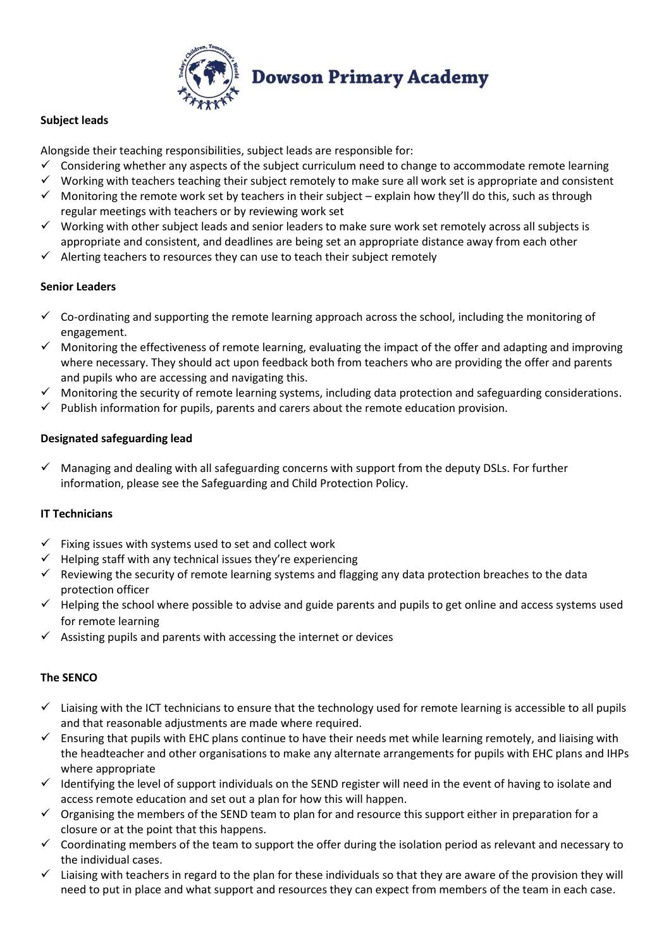

# **Subject leads**

Alongside their teaching responsibilities, subject leads are responsible for:

- $\checkmark$  Considering whether any aspects of the subject curriculum need to change to accommodate remote learning
- $\checkmark$  Working with teachers teaching their subject remotely to make sure all work set is appropriate and consistent
- $\checkmark$  Monitoring the remote work set by teachers in their subject explain how they'll do this, such as through regular meetings with teachers or by reviewing work set
- $\checkmark$  Working with other subject leads and senior leaders to make sure work set remotely across all subjects is appropriate and consistent, and deadlines are being set an appropriate distance away from each other
- $\checkmark$  Alerting teachers to resources they can use to teach their subject remotely

## **Senior Leaders**

- $\checkmark$  Co-ordinating and supporting the remote learning approach across the school, including the monitoring of engagement.
- $\checkmark$  Monitoring the effectiveness of remote learning, evaluating the impact of the offer and adapting and improving where necessary. They should act upon feedback both from teachers who are providing the offer and parents and pupils who are accessing and navigating this.
- $\checkmark$  Monitoring the security of remote learning systems, including data protection and safeguarding considerations.
- $\checkmark$  Publish information for pupils, parents and carers about the remote education provision.

# **Designated safeguarding lead**

 $\checkmark$  Managing and dealing with all safeguarding concerns with support from the deputy DSLs. For further information, please see the Safeguarding and Child Protection Policy.

# **IT Technicians**

- $\checkmark$  Fixing issues with systems used to set and collect work
- $\checkmark$  Helping staff with any technical issues they're experiencing
- $\checkmark$  Reviewing the security of remote learning systems and flagging any data protection breaches to the data protection officer
- $\checkmark$  Helping the school where possible to advise and guide parents and pupils to get online and access systems used for remote learning
- $\checkmark$  Assisting pupils and parents with accessing the internet or devices

### **The SENCO**

- $\checkmark$  Liaising with the ICT technicians to ensure that the technology used for remote learning is accessible to all pupils and that reasonable adjustments are made where required.
- $\checkmark$  Ensuring that pupils with EHC plans continue to have their needs met while learning remotely, and liaising with the headteacher and other organisations to make any alternate arrangements for pupils with EHC plans and IHPs where appropriate
- $\checkmark$  Identifving the level of support individuals on the SEND register will need in the event of having to isolate and access remote education and set out a plan for how this will happen.
- $\checkmark$  Organising the members of the SEND team to plan for and resource this support either in preparation for a closure or at the point that this happens.
- $\checkmark$  Coordinating members of the team to support the offer during the isolation period as relevant and necessary to the individual cases.
- $\checkmark$  Liaising with teachers in regard to the plan for these individuals so that they are aware of the provision they will need to put in place and what support and resources they can expect from members of the team in each case.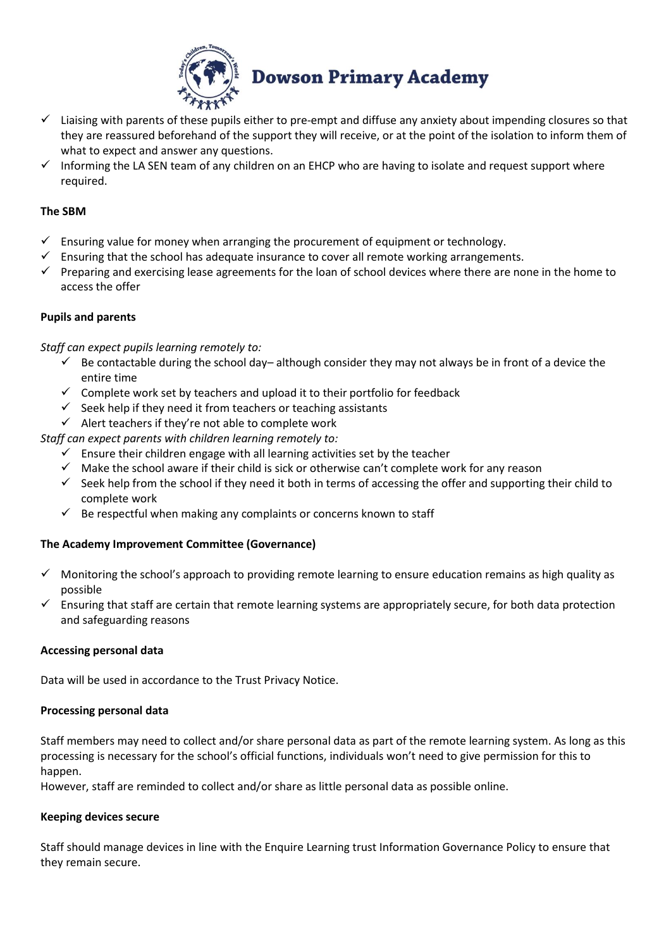

- $\checkmark$  Liaising with parents of these pupils either to pre-empt and diffuse any anxiety about impending closures so that they are reassured beforehand of the support they will receive, or at the point of the isolation to inform them of what to expect and answer any questions.
- $\checkmark$  Informing the LA SEN team of any children on an EHCP who are having to isolate and request support where required.

## **The SBM**

- $\checkmark$  Ensuring value for money when arranging the procurement of equipment or technology.
- Ensuring that the school has adequate insurance to cover all remote working arrangements.
- $\checkmark$  Preparing and exercising lease agreements for the loan of school devices where there are none in the home to access the offer

# **Pupils and parents**

*Staff can expect pupils learning remotely to:*

- $\checkmark$  Be contactable during the school day– although consider they may not always be in front of a device the entire time
- $\checkmark$  Complete work set by teachers and upload it to their portfolio for feedback
- $\checkmark$  Seek help if they need it from teachers or teaching assistants
- $\checkmark$  Alert teachers if they're not able to complete work

*Staff can expect parents with children learning remotely to:*

- $\checkmark$  Ensure their children engage with all learning activities set by the teacher
- $\checkmark$  Make the school aware if their child is sick or otherwise can't complete work for any reason
- $\checkmark$  Seek help from the school if they need it both in terms of accessing the offer and supporting their child to complete work
- $\checkmark$  Be respectful when making any complaints or concerns known to staff

# **The Academy Improvement Committee (Governance)**

- $\checkmark$  Monitoring the school's approach to providing remote learning to ensure education remains as high quality as possible
- $\checkmark$  Ensuring that staff are certain that remote learning systems are appropriately secure, for both data protection and safeguarding reasons

### **Accessing personal data**

Data will be used in accordance to the Trust Privacy Notice.

### **Processing personal data**

Staff members may need to collect and/or share personal data as part of the remote learning system. As long as this processing is necessary for the school's official functions, individuals won't need to give permission for this to happen.

However, staff are reminded to collect and/or share as little personal data as possible online.

### **Keeping devices secure**

Staff should manage devices in line with the Enquire Learning trust Information Governance Policy to ensure that they remain secure.